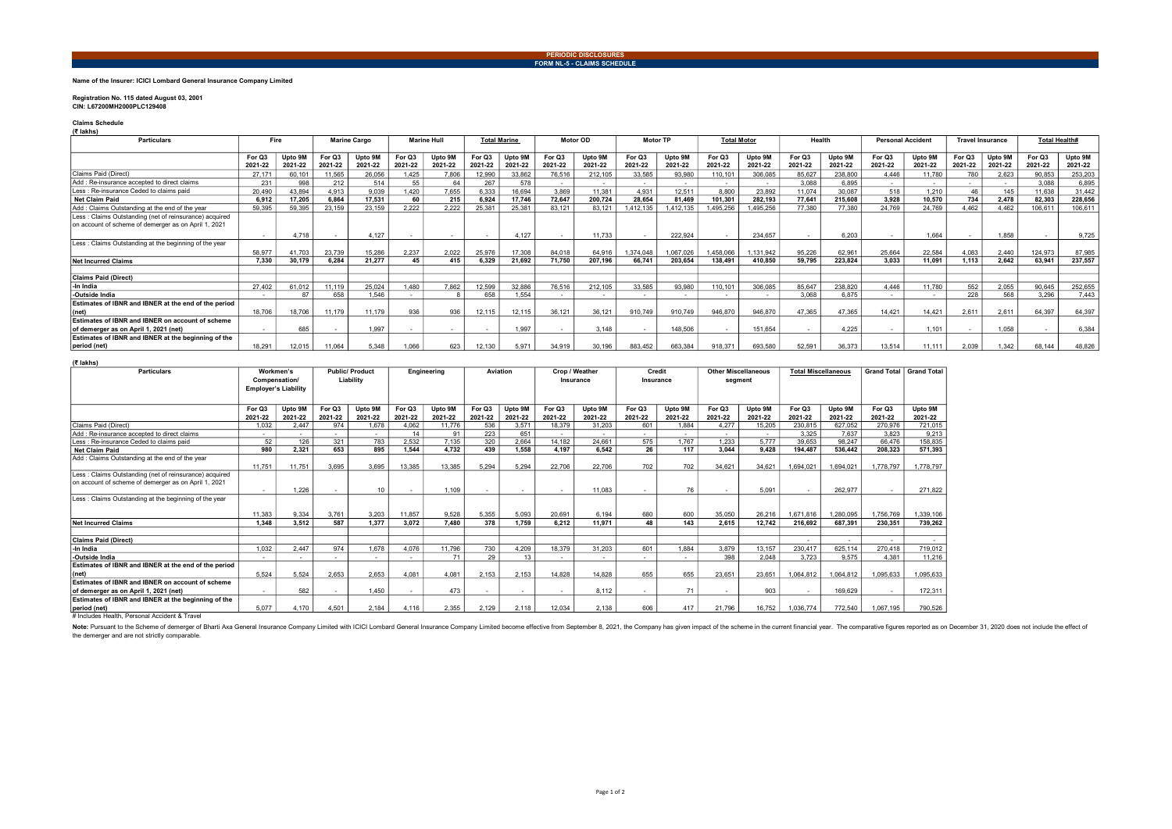### PERIODIC DISCLOSURES FORM NL-5 - CLAIMS SCHEDULE

### Name of the Insurer: ICICI Lombard General Insurance Company Limited

### Registration No. 115 dated August 03, 2001 CIN: L67200MH2000PLC129408

#### Claims Schedule (₹ lakhs)

| $\ddotsc$<br><b>Particulars</b>                        | Fire    |         |         |         | <b>Marine Hull</b><br><b>Marine Cargo</b> |         | <b>Total Marine</b> |         | <b>Motor OD</b> |         | <b>Motor TP</b> |           | <b>Total Motor</b> |          | Health  |         | <b>Personal Accident</b> |         | <b>Travel Insurance</b> |         | <b>Total Health#</b> |         |
|--------------------------------------------------------|---------|---------|---------|---------|-------------------------------------------|---------|---------------------|---------|-----------------|---------|-----------------|-----------|--------------------|----------|---------|---------|--------------------------|---------|-------------------------|---------|----------------------|---------|
|                                                        | For Q3  | Upto 9M | For Q3  | Upto 9M | For Q3                                    | Upto 9M | For Q3              | Upto 9M | For Q3          | Upto 9M | For Q3          | Upto 9M   | For O3             | Upto 9M  | For Q3  | Upto 9M | For Q3                   | Upto 9M | For Q3                  | Upto 9M | For Q3               | Upto 9M |
|                                                        | 2021-22 | 2021-22 | 2021-22 | 2021-22 | 2021-22                                   | 2021-22 | 2021-22             | 2021-22 | 2021-22         | 2021-22 | 2021-22         | 2021-22   | 2021-22            | 2021-22  | 2021-22 | 2021-22 | 2021-22                  | 2021-22 | 2021-22                 | 2021-22 | 2021-22              | 2021-22 |
| Claims Paid (Direct)                                   | 27.171  | 60,10   | 11,565  | 26,056  | 1.425                                     | 7,806   | 12,990              | 33,862  | 76,516          | 212,105 | 33,585          | 93,980    | 110,101            | 306,085  | 85,627  | 238,800 | 4.446                    | 11.780  | 780                     | 2,623   | 90.853               | 253,203 |
| Add : Re-insurance accepted to direct claims           | 231     | 998     | 212     | 514     | 55                                        |         | 267                 | 578     |                 |         |                 |           |                    |          | 3.088   | 6.895   |                          |         |                         |         | 3.088                | 6,895   |
| Less : Re-insurance Ceded to claims paid               | 20.490  | 43.894  | 4.913   | 9.039   | 1.420                                     | 7.655   | 6.333               | 16.694  | 3.869           | 11.381  | 4.931           | 12.511    | 8.800              | 23.892   | 11.074  | 30.087  | 518                      | 1.210   | 46                      | 145     | 11.638               | 31.442  |
| <b>Net Claim Paid</b>                                  | 6.912   | 17.205  | 6.864   | 17.531  | 60                                        | 215     | 6.924               | 17.746  | 72.647          | 200.724 | 28.654          | 81.469    | 101.301            | 282.193  | 77.641  | 215.608 | 3.928                    | 10.570  | 734                     | 2.478   | 82.303               | 228,656 |
| Add: Claims Outstanding at the end of the year         | 59.395  | 59.395  | 23.159  | 23.159  | 2.222                                     | 2.222   | 25.381              | 25.381  | 83.121          | 83.121  | 1.412.135       | .412.135  | .495.256           | .495.256 | 77,380  | 77,380  | 24.769                   | 24.769  | 4.462                   | 4.462   | 106.611              | 106.61  |
| Less: Claims Outstanding (net of reinsurance) acquired |         |         |         |         |                                           |         |                     |         |                 |         |                 |           |                    |          |         |         |                          |         |                         |         |                      |         |
| on account of scheme of demerger as on April 1, 2021   |         |         |         |         |                                           |         |                     |         |                 |         |                 |           |                    |          |         |         |                          |         |                         |         |                      |         |
|                                                        | $\sim$  | 4.718   |         | 4.127   |                                           | $\sim$  | . .                 | 4.127   |                 | 11.733  |                 | 222.924   |                    | 234,657  |         | 6.203   |                          | 1.664   |                         | 1.858   |                      | 9,725   |
| Less: Claims Outstanding at the beginning of the year  |         |         |         |         |                                           |         |                     |         |                 |         |                 |           |                    |          |         |         |                          |         |                         |         |                      |         |
|                                                        | 58.977  | 41.703  | 23.739  | 15.286  | 2.237                                     | 2.022   | 25.976              | 17.308  | 84.018          | 64.91   | 1.374.048       | 1,067,026 | ,458,066           | .131.942 | 95.226  | 62.961  | 25.664                   | 22.584  | 4.083                   | 2.440   | 124.973              | 87,985  |
| <b>Net Incurred Claims</b>                             | 7.330   | 30.179  | 6.284   | 21.277  | 45                                        | 415     | 6.329               | 21.692  | 71.750          | 207.196 | 66.741          | 203,654   | 138.491            | 410.850  | 59.795  | 223,824 | 3.033                    | 11.091  | 1.113                   | 2.642   | 63.941               | 237,557 |
|                                                        |         |         |         |         |                                           |         |                     |         |                 |         |                 |           |                    |          |         |         |                          |         |                         |         |                      |         |
| Claims Paid (Direct)                                   |         |         |         |         |                                           |         |                     |         |                 |         |                 |           |                    |          |         |         |                          |         |                         |         |                      |         |
| -In India                                              | 27,402  | 61.012  | 11.119  | 25.024  | 1.480                                     | 7.862   | 12,599              | 32,886  | 76.516          | 212,105 | 33.585          | 93,980    | 110.101            | 306,085  | 85.647  | 238,820 | 4.446                    | 11.780  | 552                     | 2.055   | 90.645               | 252,655 |
| -Outside India                                         | $\sim$  | 87      | 658     | 1.546   |                                           |         | 658                 | 1.554   |                 |         |                 |           |                    |          | 3.068   | 6.875   |                          |         | 228                     | 568     | 3.296                | 7.443   |
| Estimates of IBNR and IBNER at the end of the period   |         |         |         |         |                                           |         |                     |         |                 |         |                 |           |                    |          |         |         |                          |         |                         |         |                      |         |
| (net)                                                  | 18.706  | 18,706  | 11.179  | 11.179  | 936                                       | 936     | 12.115              | 12.115  | 36.121          | 36.121  | 910.749         | 910.749   | 946.870            | 946,870  | 47.365  | 47.365  | 14.421                   | 14.421  | 2.611                   | 2.611   | 64.397               | 64.397  |
| Estimates of IBNR and IBNER on account of scheme       |         |         |         |         |                                           |         |                     |         |                 |         |                 |           |                    |          |         |         |                          |         |                         |         |                      |         |
| of demerger as on April 1, 2021 (net)                  | $\sim$  | 685     |         | 1.997   |                                           | $\sim$  | $\sim$              | 1.997   |                 | 3.148   |                 | 148,506   |                    | 151.654  |         | 4.225   |                          | 1.101   |                         | 1.058   | $\sim$               | 6.384   |
| Estimates of IBNR and IBNER at the beginning of the    |         |         |         |         |                                           |         |                     |         |                 |         |                 |           |                    |          |         |         |                          |         |                         |         |                      |         |
| period (net)                                           | 18,291  | 12,015  | 11.064  | 5,348   | 1.066                                     | 623     | 12,130              | 5.971   | 34,919          | 30,196  | 883,452         | 663,384   | 918.371            | 693,580  | 52,591  | 36,373  | 13.514                   | 11.111  | 2,039                   | 1.342   | 68.144               | 48,826  |

### (₹ lakhs)

| <b>Particulars</b>                                                                                             | Workmen's<br>Compensation/<br><b>Employer's Liability</b> |         |                          | <b>Public/ Product</b><br>Engineering<br>Liability |         |         |         | Aviation | Crop / Weather<br>Insurance |             | Credit<br>Insurance      |             | <b>Other Miscellaneous</b><br>segment |         | <b>Total Miscellaneous</b> |           | <b>Grand Total</b> | <b>Grand Total</b> |
|----------------------------------------------------------------------------------------------------------------|-----------------------------------------------------------|---------|--------------------------|----------------------------------------------------|---------|---------|---------|----------|-----------------------------|-------------|--------------------------|-------------|---------------------------------------|---------|----------------------------|-----------|--------------------|--------------------|
|                                                                                                                |                                                           |         |                          |                                                    |         |         |         |          |                             |             |                          |             |                                       |         |                            |           |                    |                    |
|                                                                                                                |                                                           |         |                          |                                                    |         |         |         |          |                             |             |                          |             |                                       |         |                            |           |                    |                    |
|                                                                                                                |                                                           |         |                          |                                                    |         |         |         |          |                             |             |                          |             |                                       |         |                            |           |                    |                    |
|                                                                                                                | For Q3                                                    | Upto 9M | For Q3                   | Upto 9M                                            | For Q3  | Upto 9M | For Q3  | Upto 9M  | For Q3                      | Upto 9M     | For Q3                   | Upto 9M     | For Q3                                | Upto 9M | For Q3                     | Upto 9M   | For Q3             | Upto 9M            |
|                                                                                                                | 2021-22                                                   | 2021-22 | 2021-22                  | 2021-22                                            | 2021-22 | 2021-22 | 2021-22 | 2021-22  | 2021-22                     | 2021-22     | 2021-22                  | 2021-22     | 2021-22                               | 2021-22 | 2021-22                    | 2021-22   | 2021-22            | 2021-22            |
| Claims Paid (Direct)                                                                                           | 1,032                                                     | 2.447   | 974                      | 1,678                                              | 4,062   | 11.776  | 536     | 3.57'    | 18,379                      | 31.203      | 601                      | 1.884       | 4.277                                 | 15,205  | 230.815                    | 627.052   | 270.976            | 721,015            |
| Add: Re-insurance accepted to direct claims                                                                    |                                                           |         |                          | ۰.                                                 | 14      | 91      | 223     | 651      | $\sim$                      |             | $\sim$                   |             | $\sim$                                |         | 3.325                      | 7.637     | 3.823              | 9.213              |
| Less : Re-insurance Ceded to claims paid                                                                       | 52                                                        | 126     | 321                      | 783                                                | 2.532   | 7.135   | 320     | 2.664    | 14,182                      | 24.661      | 575                      | 1.767       | 1.233                                 | 5.777   | 39.653                     | 98.247    | 66,476             | 158,835            |
| <b>Net Claim Paid</b>                                                                                          | 980                                                       | 2.321   | 653                      | 895                                                | 1.544   | 4.732   | 439     | 1.558    | 4.197                       | 6.542       | 26                       | 117         | 3.044                                 | 9.428   | 194.487                    | 536.442   | 208.323            | 571,393            |
| Add: Claims Outstanding at the end of the year                                                                 | 11.751                                                    | 11.751  | 3.695                    | 3.695                                              | 13.385  | 13,385  | 5.294   | 5.294    | 22.706                      | 22.706      | 702                      | 702         | 34.621                                | 34,621  | .694,021                   | 1.694.021 | 1,778,797          | .778.797           |
| Less: Claims Outstanding (net of reinsurance) acquired<br>on account of scheme of demerger as on April 1, 2021 |                                                           |         |                          |                                                    |         |         |         |          |                             |             |                          |             |                                       |         |                            |           |                    |                    |
|                                                                                                                |                                                           | 1.226   | $\sim$                   | 10                                                 | $\sim$  | 1.109   |         | $\sim$   | $\sim$                      | 11.083      | $\overline{\phantom{a}}$ | 76          | $\sim$                                | 5.091   | $\sim$                     | 262,977   | . н.               | 271.822            |
| Less: Claims Outstanding at the beginning of the year                                                          |                                                           |         |                          |                                                    |         |         |         |          |                             |             |                          |             |                                       |         |                            |           |                    |                    |
|                                                                                                                | 11.383                                                    | 9.334   | 3.761                    | 3.203                                              | 11.857  | 9.528   | 5,355   | 5.093    | 20.691                      | 6.194       | 680                      | 600         | 35.050                                | 26.216  | 1.671.816                  | 1.280.095 | 1.756.769          | .339.106           |
| <b>Net Incurred Claims</b>                                                                                     | 1.348                                                     | 3.512   | 587                      | 1.377                                              | 3.072   | 7.480   | 378     | 1.759    | 6.212                       | 11,971      | 48                       | 143         | 2.615                                 | 12.742  | 216.692                    | 687.391   | 230.351            | 739.262            |
|                                                                                                                |                                                           |         |                          |                                                    |         |         |         |          |                             |             |                          |             |                                       |         |                            |           |                    |                    |
| <b>Claims Paid (Direct)</b>                                                                                    |                                                           |         |                          |                                                    |         |         |         |          |                             |             |                          |             |                                       |         | $\sim$                     |           | $\sim$             | $\sim$             |
| -In India                                                                                                      | 1.032                                                     | 2.447   | 974                      | 1.678                                              | 4.076   | 11.796  | 730     | 4.209    | 18,379                      | 31,203      | 601                      | 1.884       | 3.879                                 | 13.157  | 230.417                    | 625.114   | 270,418            | 719,012            |
| -Outside India                                                                                                 | $\sim$                                                    |         | $\sim$                   | ۰.                                                 | . .     | 71      | 29      | 13       | $\sim$                      | <b>1999</b> | $\sim$                   | <b>1999</b> | 398                                   | 2.048   | 3.723                      | 9.575     | 4.381              | 11.216             |
| Estimates of IBNR and IBNER at the end of the period                                                           |                                                           |         |                          |                                                    |         |         |         |          |                             |             |                          |             |                                       |         |                            |           |                    |                    |
| (net)                                                                                                          | 5.524                                                     | 5.524   | 2.653                    | 2.653                                              | 4.081   | 4.081   | 2.153   | 2.153    | 14.828                      | 14.828      | 655                      | 655         | 23.651                                | 23.651  | 1,064,812                  | 1,064,812 | 1,095,633          | 095,633            |
| Estimates of IBNR and IBNER on account of scheme                                                               |                                                           |         |                          |                                                    |         |         |         |          |                             |             |                          |             |                                       |         |                            |           |                    |                    |
| of demerger as on April 1, 2021 (net)                                                                          | $\overline{\phantom{a}}$                                  | 582     | $\overline{\phantom{a}}$ | 1.450                                              |         | 473     |         | $\sim$   | $\sim$                      | 8.112       | $\sim$                   | 71          | $\sim$                                | 903     | $\sim$                     | 169.629   | $\sim$             | 172.311            |
| Estimates of IBNR and IBNER at the beginning of the                                                            |                                                           |         |                          |                                                    |         |         |         |          |                             |             |                          |             |                                       |         |                            |           |                    |                    |
| period (net)                                                                                                   | 5.077                                                     | 4.170   | 4.501                    | 2.184                                              | 4.116   | 2.355   | 2.129   | 2.118    | 12,034                      | 2.138       | 606                      | 417         | 21.796                                | 16.752  | 1.036.774                  | 772.540   | 1.067.195          | 790.526            |

# Includes Health, Personal Accident & Travel

Note: Pursuant to the Scheme of demerger of Bharti Axa General Insurance Company Limited with ICICI Lombard General Insurance Company Limited with ICICI Lombard General Insurance Company Limited become effective from Septe the demerger and are not strictly comparable.